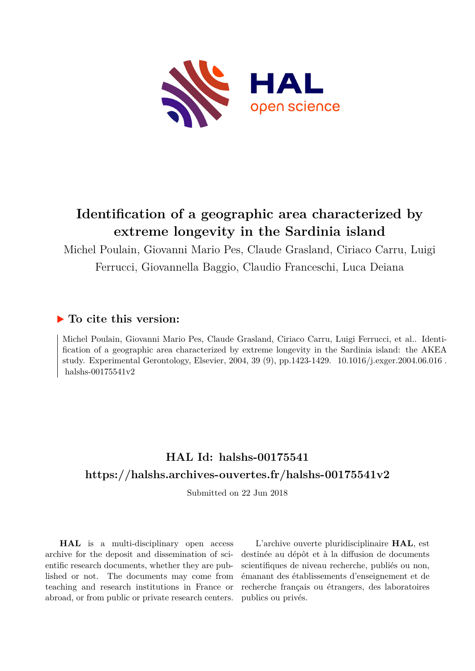

# **Identification of a geographic area characterized by extreme longevity in the Sardinia island**

Michel Poulain, Giovanni Mario Pes, Claude Grasland, Ciriaco Carru, Luigi Ferrucci, Giovannella Baggio, Claudio Franceschi, Luca Deiana

# **To cite this version:**

Michel Poulain, Giovanni Mario Pes, Claude Grasland, Ciriaco Carru, Luigi Ferrucci, et al.. Identification of a geographic area characterized by extreme longevity in the Sardinia island: the AKEA study. Experimental Gerontology, Elsevier, 2004, 39 (9), pp.1423-1429. 10.1016/j.exger.2004.06.016. halshs-00175541v2

# **HAL Id: halshs-00175541 <https://halshs.archives-ouvertes.fr/halshs-00175541v2>**

Submitted on 22 Jun 2018

**HAL** is a multi-disciplinary open access archive for the deposit and dissemination of scientific research documents, whether they are published or not. The documents may come from teaching and research institutions in France or abroad, or from public or private research centers.

L'archive ouverte pluridisciplinaire **HAL**, est destinée au dépôt et à la diffusion de documents scientifiques de niveau recherche, publiés ou non, émanant des établissements d'enseignement et de recherche français ou étrangers, des laboratoires publics ou privés.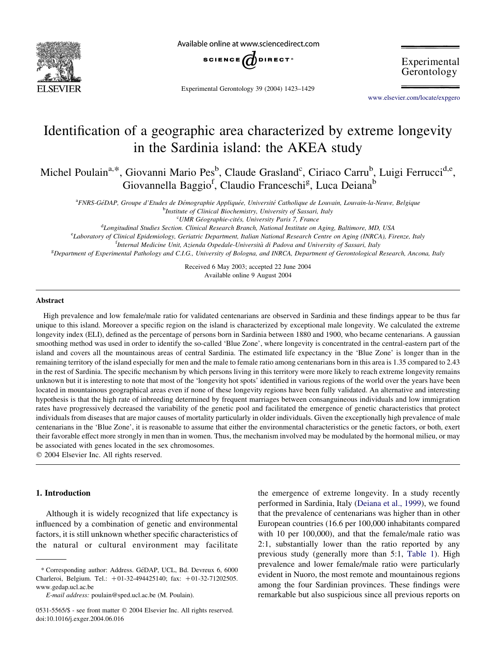

Available online at www.sciencedirect.com



Experimental Gerontology 39 (2004) 1423–1429

Experimental Gerontology

[www.elsevier.com/locate/expgero](http://www.elsevier.com/locate/expgero)

# Identification of a geographic area characterized by extreme longevity in the Sardinia island: the AKEA study

Michel Poulain<sup>a,\*</sup>, Giovanni Mario Pes<sup>b</sup>, Claude Grasland<sup>c</sup>, Ciriaco Carru<sup>b</sup>, Luigi Ferrucci<sup>d,e</sup>, Giovannella Baggio<sup>f</sup>, Claudio Franceschi<sup>g</sup>, Luca Deiana<sup>b</sup>

a<br>Annes-GéDAP, Groupe d'Etudes de Démographie Appliquée, Université Catholique de Louvain, Louvain-la-Neuve, Belgique

<sup>b</sup>Institute of Clinical Biochemistry, University of Sassari, Italy

<sup>c</sup>UMR Géographie-cités, University Paris 7, France

<sup>d</sup>Longitudinal Studies Section. Clinical Research Branch, National Institute on Aging, Baltimore, MD, USA

<sup>e</sup>Laboratory of Clinical Epidemiology, Geriatric Department, Italian National Research Centre on Aging (INRCA), Firenze, Italy

<sup>f</sup>Internal Medicine Unit, Azienda Ospedale-Università di Padova and University of Sassari, Italy

e<br>Bepartment of Experimental Pathology and C.I.G., University of Bologna, and INRCA, Department of Gerontological Research, Ancona, Italy

Received 6 May 2003; accepted 22 June 2004 Available online 9 August 2004

#### Abstract

High prevalence and low female/male ratio for validated centenarians are observed in Sardinia and these findings appear to be thus far unique to this island. Moreover a specific region on the island is characterized by exceptional male longevity. We calculated the extreme longevity index (ELI), defined as the percentage of persons born in Sardinia between 1880 and 1900, who became centenarians. A gaussian smoothing method was used in order to identify the so-called 'Blue Zone', where longevity is concentrated in the central-eastern part of the island and covers all the mountainous areas of central Sardinia. The estimated life expectancy in the 'Blue Zone' is longer than in the remaining territory of the island especially for men and the male to female ratio among centenarians born in this area is 1.35 compared to 2.43 in the rest of Sardinia. The specific mechanism by which persons living in this territory were more likely to reach extreme longevity remains unknown but it is interesting to note that most of the 'longevity hot spots' identified in various regions of the world over the years have been located in mountainous geographical areas even if none of these longevity regions have been fully validated. An alternative and interesting hypothesis is that the high rate of inbreeding determined by frequent marriages between consanguineous individuals and low immigration rates have progressively decreased the variability of the genetic pool and facilitated the emergence of genetic characteristics that protect individuals from diseases that are major causes of mortality particularly in older individuals. Given the exceptionally high prevalence of male centenarians in the 'Blue Zone', it is reasonable to assume that either the environmental characteristics or the genetic factors, or both, exert their favorable effect more strongly in men than in women. Thus, the mechanism involved may be modulated by the hormonal milieu, or may be associated with genes located in the sex chromosomes.

 $© 2004 Elsevier Inc. All rights reserved.$ 

#### 1. Introduction

Although it is widely recognized that life expectancy is influenced by a combination of genetic and environmental factors, it is still unknown whether specific characteristics of the natural or cultural environment may facilitate the emergence of extreme longevity. In a study recently performed in Sardinia, Italy (Deiana et al., 1999), we found that the prevalence of centenarians was higher than in other European countries (16.6 per 100,000 inhabitants compared with 10 per 100,000), and that the female/male ratio was 2:1, substantially lower than the ratio reported by any previous study (generally more than 5:1, Table 1). High prevalence and lower female/male ratio were particularly evident in Nuoro, the most remote and mountainous regions among the four Sardinian provinces. These findings were remarkable but also suspicious since all previous reports on

<sup>\*</sup> Corresponding author: Address. Ge´DAP, UCL, Bd. Devreux 6, 6000 Charleroi, Belgium. Tel.: +01-32-494425140; fax: +01-32-71202505. www.gedap.ucl.ac.be

E-mail address: poulain@sped.ucl.ac.be (M. Poulain).

<sup>0531-5565/\$ -</sup> see front matter © 2004 Elsevier Inc. All rights reserved. doi:10.1016/j.exger.2004.06.016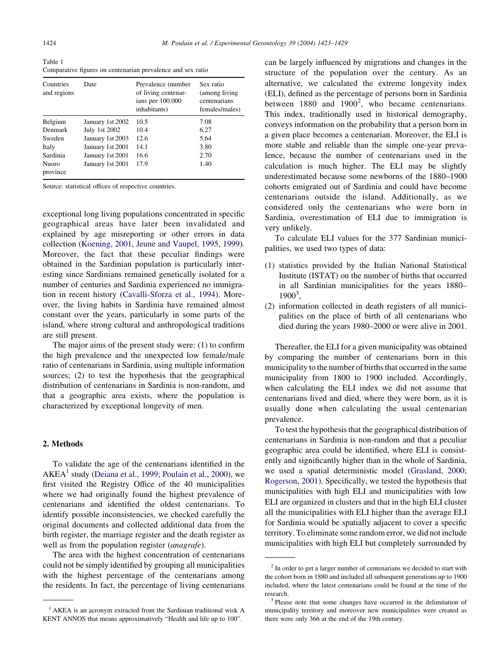Table 1 Comparative figures on centenarian prevalence and sex ratio

| Countries<br>and regions | Date             | Prevalence (number)<br>of living centenar-<br>ians per 100.000<br>inhabitants) | Sex ratio<br>(among living)<br>centenarians<br>females/males) |
|--------------------------|------------------|--------------------------------------------------------------------------------|---------------------------------------------------------------|
| Belgium                  | January 1st 2002 | 10.5                                                                           | 7.08                                                          |
| Denmark                  | July 1st 2002    | 10.4                                                                           | 6.27                                                          |
| Sweden                   | January 1st 2003 | 12.6                                                                           | 5.64                                                          |
| Italy                    | January 1st 2001 | 14.1                                                                           | 3.80                                                          |
| Sardinia                 | January 1st 2001 | 16.6                                                                           | 2.70                                                          |
| <b>Nuoro</b><br>province | January 1st 2001 | 17.9                                                                           | 1.40                                                          |

Source: statistical offices of respective countries.

exceptional long living populations concentrated in specific geographical areas have later been invalidated and explained by age misreporting or other errors in data collection (Koening, 2001, Jeune and Vaupel, 1995, 1999). Moreover, the fact that these peculiar findings were obtained in the Sardinian population is particularly interesting since Sardinians remained genetically isolated for a number of centuries and Sardinia experienced no immigration in recent history (Cavalli-Sforza et al., 1994). Moreover, the living habits in Sardinia have remained almost constant over the years, particularly in some parts of the island, where strong cultural and anthropological traditions are still present.

The major aims of the present study were: (1) to confirm the high prevalence and the unexpected low female/male ratio of centenarians in Sardinia, using multiple information sources; (2) to test the hypothesis that the geographical distribution of centenarians in Sardinia is non-random, and that a geographic area exists, where the population is characterized by exceptional longevity of men.

#### 2. Methods

To validate the age of the centenarians identified in the  $AKEA<sup>1</sup>$  study (Deiana et al., 1999; Poulain et al., 2000), we first visited the Registry Office of the 40 municipalities where we had originally found the highest prevalence of centenarians and identified the oldest centenarians. To identify possible inconsistencies, we checked carefully the original documents and collected additional data from the birth register, the marriage register and the death register as well as from the population register *(anagrafe)*.

The area with the highest concentration of centenarians could not be simply identified by grouping all municipalities with the highest percentage of the centenarians among the residents. In fact, the percentage of living centenarians can be largely influenced by migrations and changes in the structure of the population over the century. As an alternative, we calculated the extreme longevity index (ELI), defined as the percentage of persons born in Sardinia between  $1880$  and  $1900^2$ , who became centenarians. This index, traditionally used in historical demography, conveys information on the probability that a person born in a given place becomes a centenarian. Moreover, the ELI is more stable and reliable than the simple one-year prevalence, because the number of centenarians used in the calculation is much higher. The ELI may be slightly underestimated because some newborns of the 1880–1900 cohorts emigrated out of Sardinia and could have become centenarians outside the island. Additionally, as we considered only the centenarians who were born in Sardinia, overestimation of ELI due to immigration is very unlikely.

To calculate ELI values for the 377 Sardinian municipalities, we used two types of data:

- (1) statistics provided by the Italian National Statistical Institute (ISTAT) on the number of births that occurred in all Sardinian municipalities for the years 1880– 1900<sup>3</sup>,
- (2) information collected in death registers of all municipalities on the place of birth of all centenarians who died during the years 1980–2000 or were alive in 2001.

Thereafter, the ELI for a given municipality was obtained by comparing the number of centenarians born in this municipality to the number of births that occurred in the same municipality from 1800 to 1900 included. Accordingly, when calculating the ELI index we did not assume that centenarians lived and died, where they were born, as it is usually done when calculating the usual centenarian prevalence.

To test the hypothesis that the geographical distribution of centenarians in Sardinia is non-random and that a peculiar geographic area could be identified, where ELI is consistently and significantly higher than in the whole of Sardinia, we used a spatial deterministic model (Grasland, 2000; Rogerson, 2001). Specifically, we tested the hypothesis that municipalities with high ELI and municipalities with low ELI are organized in clusters and that in the high ELI cluster all the municipalities with ELI higher than the average ELI for Sardinia would be spatially adjacent to cover a specific territory. To eliminate some random error, we did not include municipalities with high ELI but completely surrounded by

<sup>&</sup>lt;sup>1</sup> AKEA is an acronym extracted from the Sardinian traditional wisk A KENT ANNOS that means approximatively "Health and life up to 100".

<sup>&</sup>lt;sup>2</sup> In order to get a larger number of centenarians we decided to start with the cohort born in 1880 and included all subsequent generations up to 1900 included, where the latest centenarians could be found at the time of the research. <sup>3</sup> Please note that some changes have occurred in the delimitation of

municipality territory and moreover new municipalities were created as there were only 366 at the end of the 19th century.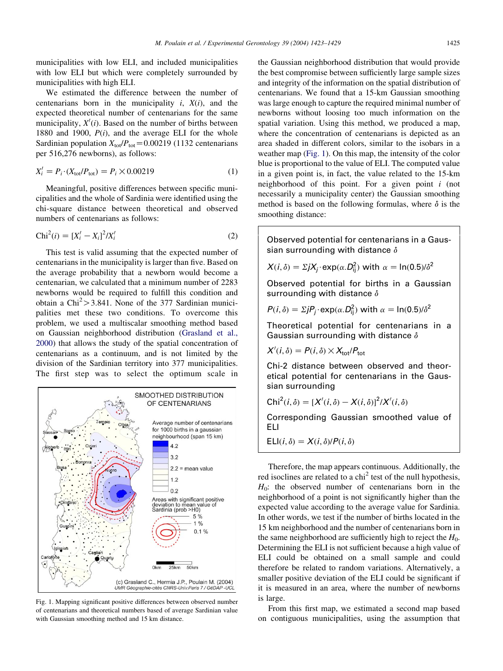municipalities with low ELI, and included municipalities with low ELI but which were completely surrounded by municipalities with high ELI.

We estimated the difference between the number of centenarians born in the municipality  $i$ ,  $X(i)$ , and the expected theoretical number of centenarians for the same municipality,  $X'(i)$ . Based on the number of births between 1880 and 1900,  $P(i)$ , and the average ELI for the whole Sardinian population  $X_{\text{tot}}/P_{\text{tot}} = 0.00219$  (1132 centenarians per 516,276 newborns), as follows:

$$
X'_{i} = P_{i} \cdot (X_{\text{tot}}/P_{\text{tot}}) = P_{i} \times 0.00219
$$
 (1)

Meaningful, positive differences between specific municipalities and the whole of Sardinia were identified using the chi-square distance between theoretical and observed numbers of centenarians as follows:

$$
Chi^{2}(i) = [X'_{i} - X_{i}]^{2}/X'_{i}
$$
\n(2)

This test is valid assuming that the expected number of centenarians in the municipality is larger than five. Based on the average probability that a newborn would become a centenarian, we calculated that a minimum number of 2283 newborns would be required to fulfill this condition and obtain a  $\text{Chi}^2$  > 3.841. None of the 377 Sardinian municipalities met these two conditions. To overcome this problem, we used a multiscalar smoothing method based on Gaussian neighborhood distribution (Grasland et al., 2000) that allows the study of the spatial concentration of centenarians as a continuum, and is not limited by the division of the Sardinian territory into 377 municipalities. The first step was to select the optimum scale in



Fig. 1. Mapping significant positive differences between observed number of centenarians and theoretical numbers based of average Sardinian value with Gaussian smoothing method and 15 km distance.

the Gaussian neighborhood distribution that would provide the best compromise between sufficiently large sample sizes and integrity of the information on the spatial distribution of centenarians. We found that a 15-km Gaussian smoothing was large enough to capture the required minimal number of newborns without loosing too much information on the spatial variation. Using this method, we produced a map, where the concentration of centenarians is depicted as an area shaded in different colors, similar to the isobars in a weather map (Fig. 1). On this map, the intensity of the color blue is proportional to the value of ELI. The computed value in a given point is, in fact, the value related to the 15-km neighborhood of this point. For a given point  $i$  (not necessarily a municipality center) the Gaussian smoothing method is based on the following formulas, where  $\delta$  is the smoothing distance:

Observed potential for centenarians in a Gaussian surrounding with distance  $\delta$ 

$$
X(i, \delta) = \Sigma j X_j \cdot \exp(\alpha \cdot D_{ij}^2)
$$
 with  $\alpha = \ln(0.5)/\delta^2$ 

Observed potential for births in a Gaussian surrounding with distance  $\delta$ 

$$
P(i, \delta) = \Sigma j P_j \cdot \exp(\alpha \cdot D_{ij}^2)
$$
 with  $\alpha = \ln(0.5)/\delta^2$ 

Theoretical potential for centenarians in a Gaussian surrounding with distance  $\delta$ 

$$
X'(i, \delta) = P(i, \delta) \times X_{\text{tot}}/P_{\text{tot}}
$$

Chi-2 distance between observed and theoretical potential for centenarians in the Gaussian surrounding

$$
Chi^{2}(i, \delta) = [X'(i, \delta) - X(i, \delta)]^{2}/X'(i, \delta)
$$

Corresponding Gaussian smoothed value of ELI

$$
Ell(i, \delta) = X(i, \delta)/P(i, \delta)
$$

Therefore, the map appears continuous. Additionally, the red isoclines are related to a  $\text{chi}^2$  test of the null hypothesis,  $H<sub>0</sub>$ : the observed number of centenarians born in the neighborhood of a point is not significantly higher than the expected value according to the average value for Sardinia. In other words, we test if the number of births located in the 15 km neighborhood and the number of centenarians born in the same neighborhood are sufficiently high to reject the  $H_0$ . Determining the ELI is not sufficient because a high value of ELI could be obtained on a small sample and could therefore be related to random variations. Alternatively, a smaller positive deviation of the ELI could be significant if it is measured in an area, where the number of newborns is large.

From this first map, we estimated a second map based on contiguous municipalities, using the assumption that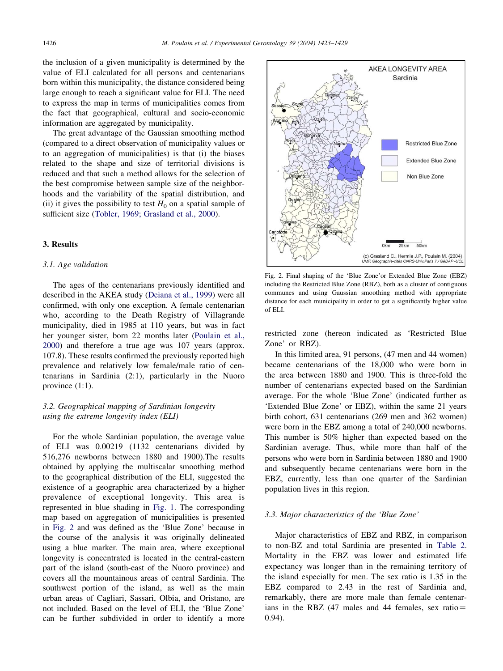the inclusion of a given municipality is determined by the value of ELI calculated for all persons and centenarians born within this municipality, the distance considered being large enough to reach a significant value for ELI. The need to express the map in terms of municipalities comes from the fact that geographical, cultural and socio-economic information are aggregated by municipality.

The great advantage of the Gaussian smoothing method (compared to a direct observation of municipality values or to an aggregation of municipalities) is that (i) the biases related to the shape and size of territorial divisions is reduced and that such a method allows for the selection of the best compromise between sample size of the neighborhoods and the variability of the spatial distribution, and (ii) it gives the possibility to test  $H_0$  on a spatial sample of sufficient size (Tobler, 1969; Grasland et al., 2000).

### 3. Results

#### 3.1. Age validation

The ages of the centenarians previously identified and described in the AKEA study (Deiana et al., 1999) were all confirmed, with only one exception. A female centenarian who, according to the Death Registry of Villagrande municipality, died in 1985 at 110 years, but was in fact her younger sister, born 22 months later (Poulain et al., 2000) and therefore a true age was 107 years (approx. 107.8). These results confirmed the previously reported high prevalence and relatively low female/male ratio of centenarians in Sardinia (2:1), particularly in the Nuoro province (1:1).

### 3.2. Geographical mapping of Sardinian longevity using the extreme longevity index (ELI)

For the whole Sardinian population, the average value of ELI was 0.00219 (1132 centenarians divided by 516,276 newborns between 1880 and 1900).The results obtained by applying the multiscalar smoothing method to the geographical distribution of the ELI, suggested the existence of a geographic area characterized by a higher prevalence of exceptional longevity. This area is represented in blue shading in Fig. 1. The corresponding map based on aggregation of municipalities is presented in Fig. 2 and was defined as the 'Blue Zone' because in the course of the analysis it was originally delineated using a blue marker. The main area, where exceptional longevity is concentrated is located in the central-eastern part of the island (south-east of the Nuoro province) and covers all the mountainous areas of central Sardinia. The southwest portion of the island, as well as the main urban areas of Cagliari, Sassari, Olbia, and Oristano, are not included. Based on the level of ELI, the 'Blue Zone' can be further subdivided in order to identify a more



Fig. 2. Final shaping of the 'Blue Zone'or Extended Blue Zone (EBZ) including the Restricted Blue Zone (RBZ), both as a cluster of contiguous communes and using Gaussian smoothing method with appropriate distance for each municipality in order to get a significantly higher value of ELI.

restricted zone (hereon indicated as 'Restricted Blue Zone' or RBZ).

In this limited area, 91 persons, (47 men and 44 women) became centenarians of the 18,000 who were born in the area between 1880 and 1900. This is three-fold the number of centenarians expected based on the Sardinian average. For the whole 'Blue Zone' (indicated further as 'Extended Blue Zone' or EBZ), within the same 21 years birth cohort, 631 centenarians (269 men and 362 women) were born in the EBZ among a total of 240,000 newborns. This number is 50% higher than expected based on the Sardinian average. Thus, while more than half of the persons who were born in Sardinia between 1880 and 1900 and subsequently became centenarians were born in the EBZ, currently, less than one quarter of the Sardinian population lives in this region.

#### 3.3. Major characteristics of the 'Blue Zone'

Major characteristics of EBZ and RBZ, in comparison to non-BZ and total Sardinia are presented in Table 2. Mortality in the EBZ was lower and estimated life expectancy was longer than in the remaining territory of the island especially for men. The sex ratio is 1.35 in the EBZ compared to 2.43 in the rest of Sardinia and, remarkably, there are more male than female centenarians in the RBZ (47 males and 44 females, sex ratio $=$ 0.94).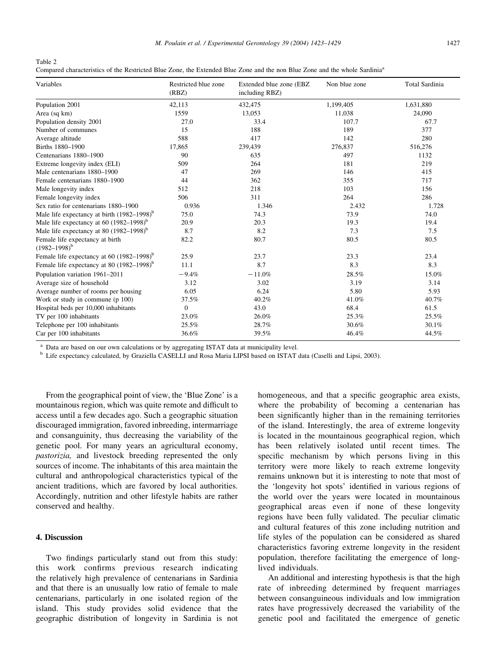Table 2

|  |  |  | Compared characteristics of the Restricted Blue Zone, the Extended Blue Zone and the non Blue Zone and the whole Sardinia <sup>a</sup> |
|--|--|--|----------------------------------------------------------------------------------------------------------------------------------------|
|--|--|--|----------------------------------------------------------------------------------------------------------------------------------------|

| Variables                                              | Restricted blue zone<br>(RBZ) | Extended blue zone (EBZ<br>including RBZ) | Non blue zone | <b>Total Sardinia</b> |
|--------------------------------------------------------|-------------------------------|-------------------------------------------|---------------|-----------------------|
| Population 2001                                        | 42,113                        | 432,475                                   | 1,199,405     | 1,631,880             |
| Area (sq km)                                           | 1559                          | 13,053                                    | 11,038        | 24,090                |
| Population density 2001                                | 27.0                          | 33.4                                      | 107.7         | 67.7                  |
| Number of communes                                     | 15                            | 188                                       | 189           | 377                   |
| Average altitude                                       | 588                           | 417                                       | 142           | 280                   |
| Births 1880-1900                                       | 17,865                        | 239,439                                   | 276,837       | 516,276               |
| Centenarians 1880-1900                                 | 90                            | 635                                       | 497           | 1132                  |
| Extreme longevity index (ELI)                          | 509                           | 264                                       | 181           | 219                   |
| Male centenarians 1880-1900                            | 47                            | 269                                       | 146           | 415                   |
| Female centenarians 1880–1900                          | 44                            | 362                                       | 355           | 717                   |
| Male longevity index                                   | 512                           | 218                                       | 103           | 156                   |
| Female longevity index                                 | 506                           | 311                                       | 264           | 286                   |
| Sex ratio for centenarians 1880–1900                   | 0.936                         | 1.346                                     | 2.432         | 1.728                 |
| Male life expectancy at birth $(1982-1998)^{b}$        | 75.0                          | 74.3                                      | 73.9          | 74.0                  |
| Male life expectancy at 60 $(1982-1998)^{b}$           | 20.9                          | 20.3                                      | 19.3          | 19.4                  |
| Male life expectancy at 80 $(1982-1998)^{b}$           | 8.7                           | 8.2                                       | 7.3           | 7.5                   |
| Female life expectancy at birth<br>$(1982 - 1998)^{b}$ | 82.2                          | 80.7                                      | 80.5          | 80.5                  |
| Female life expectancy at 60 $(1982-1998)^{b}$         | 25.9                          | 23.7                                      | 23.3          | 23.4                  |
| Female life expectancy at 80 $(1982-1998)^{b}$         | 11.1                          | 8.7                                       | 8.3           | 8.3                   |
| Population variation 1961-2011                         | $-9.4%$                       | $-11.0%$                                  | 28.5%         | 15.0%                 |
| Average size of household                              | 3.12                          | 3.02                                      | 3.19          | 3.14                  |
| Average number of rooms per housing                    | 6.05                          | 6.24                                      | 5.80          | 5.93                  |
| Work or study in commune $(p 100)$                     | 37.5%                         | 40.2%                                     | 41.0%         | 40.7%                 |
| Hospital beds per 10,000 inhabitants                   | $\mathbf{0}$                  | 43.0                                      | 68.4          | 61.5                  |
| TV per 100 inhabitants                                 | 23.0%                         | 26.0%                                     | 25.3%         | 25.5%                 |
| Telephone per 100 inhabitants                          | 25.5%                         | 28.7%                                     | 30.6%         | 30.1%                 |
| Car per 100 inhabitants                                | 36.6%                         | 39.5%                                     | 46.4%         | 44.5%                 |

<sup>a</sup> Data are based on our own calculations or by aggregating ISTAT data at municipality level.

<sup>b</sup> Life expectancy calculated, by Graziella CASELLI and Rosa Maria LIPSI based on ISTAT data (Caselli and Lipsi, 2003).

From the geographical point of view, the 'Blue Zone' is a mountainous region, which was quite remote and difficult to access until a few decades ago. Such a geographic situation discouraged immigration, favored inbreeding, intermarriage and consanguinity, thus decreasing the variability of the genetic pool. For many years an agricultural economy, pastorizia, and livestock breeding represented the only sources of income. The inhabitants of this area maintain the cultural and anthropological characteristics typical of the ancient traditions, which are favored by local authorities. Accordingly, nutrition and other lifestyle habits are rather conserved and healthy.

## 4. Discussion

Two findings particularly stand out from this study: this work confirms previous research indicating the relatively high prevalence of centenarians in Sardinia and that there is an unusually low ratio of female to male centenarians, particularly in one isolated region of the island. This study provides solid evidence that the geographic distribution of longevity in Sardinia is not homogeneous, and that a specific geographic area exists, where the probability of becoming a centenarian has been significantly higher than in the remaining territories of the island. Interestingly, the area of extreme longevity is located in the mountainous geographical region, which has been relatively isolated until recent times. The specific mechanism by which persons living in this territory were more likely to reach extreme longevity remains unknown but it is interesting to note that most of the 'longevity hot spots' identified in various regions of the world over the years were located in mountainous geographical areas even if none of these longevity regions have been fully validated. The peculiar climatic and cultural features of this zone including nutrition and life styles of the population can be considered as shared characteristics favoring extreme longevity in the resident population, therefore facilitating the emergence of longlived individuals.

An additional and interesting hypothesis is that the high rate of inbreeding determined by frequent marriages between consanguineous individuals and low immigration rates have progressively decreased the variability of the genetic pool and facilitated the emergence of genetic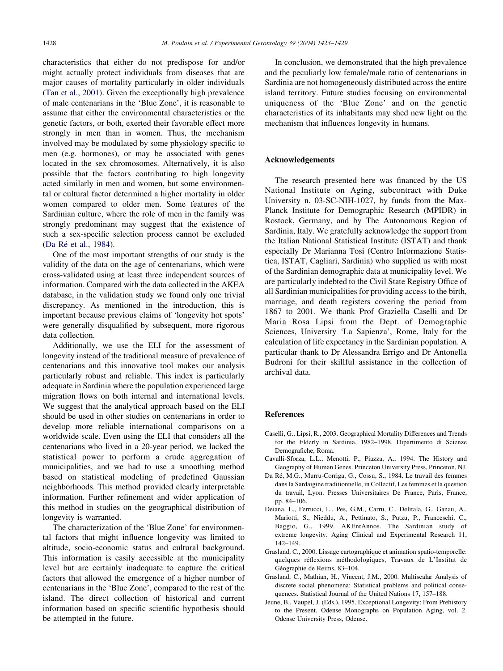characteristics that either do not predispose for and/or might actually protect individuals from diseases that are major causes of mortality particularly in older individuals (Tan et al., 2001). Given the exceptionally high prevalence of male centenarians in the 'Blue Zone', it is reasonable to assume that either the environmental characteristics or the genetic factors, or both, exerted their favorable effect more strongly in men than in women. Thus, the mechanism involved may be modulated by some physiology specific to men (e.g. hormones), or may be associated with genes located in the sex chromosomes. Alternatively, it is also possible that the factors contributing to high longevity acted similarly in men and women, but some environmental or cultural factor determined a higher mortality in older women compared to older men. Some features of the Sardinian culture, where the role of men in the family was strongly predominant may suggest that the existence of such a sex-specific selection process cannot be excluded (Da Ré et al., 1984).

One of the most important strengths of our study is the validity of the data on the age of centenarians, which were cross-validated using at least three independent sources of information. Compared with the data collected in the AKEA database, in the validation study we found only one trivial discrepancy. As mentioned in the introduction, this is important because previous claims of 'longevity hot spots' were generally disqualified by subsequent, more rigorous data collection.

Additionally, we use the ELI for the assessment of longevity instead of the traditional measure of prevalence of centenarians and this innovative tool makes our analysis particularly robust and reliable. This index is particularly adequate in Sardinia where the population experienced large migration flows on both internal and international levels. We suggest that the analytical approach based on the ELI should be used in other studies on centenarians in order to develop more reliable international comparisons on a worldwide scale. Even using the ELI that considers all the centenarians who lived in a 20-year period, we lacked the statistical power to perform a crude aggregation of municipalities, and we had to use a smoothing method based on statistical modeling of predefined Gaussian neighborhoods. This method provided clearly interpretable information. Further refinement and wider application of this method in studies on the geographical distribution of longevity is warranted.

The characterization of the 'Blue Zone' for environmental factors that might influence longevity was limited to altitude, socio-economic status and cultural background. This information is easily accessible at the municipality level but are certainly inadequate to capture the critical factors that allowed the emergence of a higher number of centenarians in the 'Blue Zone', compared to the rest of the island. The direct collection of historical and current information based on specific scientific hypothesis should be attempted in the future.

In conclusion, we demonstrated that the high prevalence and the peculiarly low female/male ratio of centenarians in Sardinia are not homogeneously distributed across the entire island territory. Future studies focusing on environmental uniqueness of the 'Blue Zone' and on the genetic characteristics of its inhabitants may shed new light on the mechanism that influences longevity in humans.

### Acknowledgements

The research presented here was financed by the US National Institute on Aging, subcontract with Duke University n. 03-SC-NIH-1027, by funds from the Max-Planck Institute for Demographic Research (MPIDR) in Rostock, Germany, and by The Autonomous Region of Sardinia, Italy. We gratefully acknowledge the support from the Italian National Statistical Institute (ISTAT) and thank especially Dr Marianna Tosi (Centro Informazione Statistica, ISTAT, Cagliari, Sardinia) who supplied us with most of the Sardinian demographic data at municipality level. We are particularly indebted to the Civil State Registry Office of all Sardinian municipalities for providing access to the birth, marriage, and death registers covering the period from 1867 to 2001. We thank Prof Graziella Caselli and Dr Maria Rosa Lipsi from the Dept. of Demographic Sciences, University 'La Sapienza', Rome, Italy for the calculation of life expectancy in the Sardinian population. A particular thank to Dr Alessandra Errigo and Dr Antonella Budroni for their skillful assistance in the collection of archival data.

#### References

- Caselli, G., Lipsi, R., 2003. Geographical Mortality Differences and Trends for the Elderly in Sardinia, 1982–1998. Dipartimento di Scienze Demografiche, Roma.
- Cavalli-Sforza, L.L., Menotti, P., Piazza, A., 1994. The History and Geography of Human Genes. Princeton University Press, Princeton, NJ.
- Da Ré, M.G., Murru-Corriga, G., Cossu, S., 1984. Le travail des femmes dans la Sardaigine traditionnelle, in Collectif, Les femmes et la question du travail, Lyon. Presses Universitaires De France, Paris, France, pp. 84–106.
- Deiana, L., Ferrucci, L., Pes, G.M., Carru, C., Delitala, G., Ganau, A., Mariotti, S., Nieddu, A., Pettinato, S., Putzu, P., Franceschi, C., Baggio, G., 1999. AKEntAnnos. The Sardinian study of extreme longevity. Aging Clinical and Experimental Research 11, 142–149.
- Grasland, C., 2000. Lissage cartographique et animation spatio-temporelle: quelques réflexions méthodologiques, Travaux de L'Institut de Géographie de Reims, 83-104.
- Grasland, C., Mathian, H., Vincent, J.M., 2000. Multiscalar Analysis of discrete social phenomena: Statistical problems and political consequences. Statistical Journal of the United Nations 17, 157–188.
- Jeune, B., Vaupel, J. (Eds.), 1995. Exceptional Longevity: From Prehistory to the Present. Odense Monographs on Population Aging, vol. 2. Odense University Press, Odense.